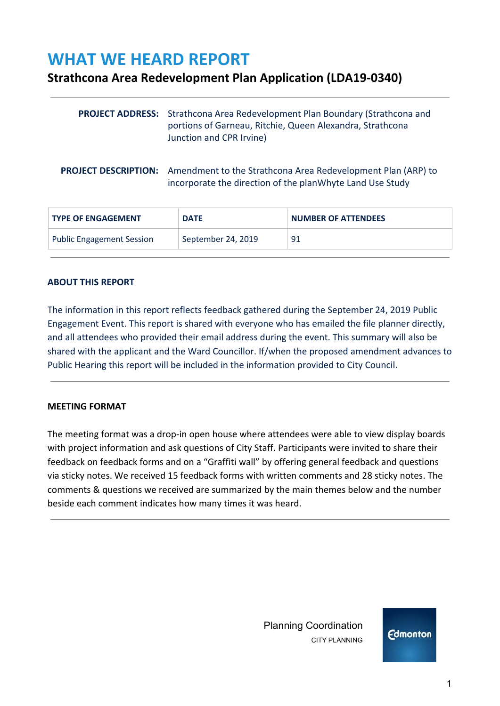# **WHAT WE HEARD REPORT**

# **Strathcona Area Redevelopment Plan Application (LDA19-0340)**

| <b>PROJECT ADDRESS:</b> Strathcona Area Redevelopment Plan Boundary (Strathcona and<br>portions of Garneau, Ritchie, Queen Alexandra, Strathcona<br>Junction and CPR Irvine) |
|------------------------------------------------------------------------------------------------------------------------------------------------------------------------------|
| <b>PROJECT DESCRIPTION:</b> Amendment to the Strathcona Area Redevelopment Plan (ARP) to<br>incorporate the direction of the planWhyte Land Use Study                        |

| <b>TYPE OF ENGAGEMENT</b> | <b>DATE</b>        | <b>NUMBER OF ATTENDEES</b> |
|---------------------------|--------------------|----------------------------|
| Public Engagement Session | September 24, 2019 | 91                         |

# **ABOUT THIS REPORT**

The information in this report reflects feedback gathered during the September 24, 2019 Public Engagement Event. This report is shared with everyone who has emailed the file planner directly, and all attendees who provided their email address during the event. This summary will also be shared with the applicant and the Ward Councillor. If/when the proposed amendment advances to Public Hearing this report will be included in the information provided to City Council.

#### **MEETING FORMAT**

The meeting format was a drop-in open house where attendees were able to view display boards with project information and ask questions of City Staff. Participants were invited to share their feedback on feedback forms and on a "Graffiti wall" by offering general feedback and questions via sticky notes. We received 15 feedback forms with written comments and 28 sticky notes. The comments & questions we received are summarized by the main themes below and the number beside each comment indicates how many times it was heard.

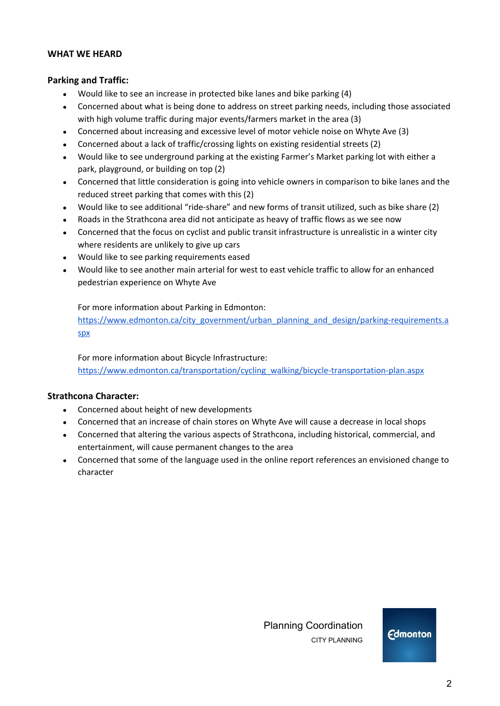#### **WHAT WE HEARD**

### **Parking and Traffic:**

- Would like to see an increase in protected bike lanes and bike parking (4)
- Concerned about what is being done to address on street parking needs, including those associated with high volume traffic during major events/farmers market in the area (3)
- Concerned about increasing and excessive level of motor vehicle noise on Whyte Ave (3)
- Concerned about a lack of traffic/crossing lights on existing residential streets (2)
- Would like to see underground parking at the existing Farmer's Market parking lot with either a park, playground, or building on top (2)
- Concerned that little consideration is going into vehicle owners in comparison to bike lanes and the reduced street parking that comes with this (2)
- Would like to see additional "ride-share" and new forms of transit utilized, such as bike share (2)
- Roads in the Strathcona area did not anticipate as heavy of traffic flows as we see now
- Concerned that the focus on cyclist and public transit infrastructure is unrealistic in a winter city where residents are unlikely to give up cars
- Would like to see parking requirements eased
- Would like to see another main arterial for west to east vehicle traffic to allow for an enhanced pedestrian experience on Whyte Ave

#### For more information about Parking in Edmonton:

[https://www.edmonton.ca/city\\_government/urban\\_planning\\_and\\_design/parking-requirements.a](https://www.edmonton.ca/city_government/urban_planning_and_design/parking-requirements.aspx) [spx](https://www.edmonton.ca/city_government/urban_planning_and_design/parking-requirements.aspx)

For more information about Bicycle Infrastructure: [https://www.edmonton.ca/transportation/cycling\\_walking/bicycle-transportation-plan.aspx](https://www.edmonton.ca/transportation/cycling_walking/bicycle-transportation-plan.aspx)

# **Strathcona Character:**

- Concerned about height of new developments
- Concerned that an increase of chain stores on Whyte Ave will cause a decrease in local shops
- Concerned that altering the various aspects of Strathcona, including historical, commercial, and entertainment, will cause permanent changes to the area
- Concerned that some of the language used in the online report references an envisioned change to character

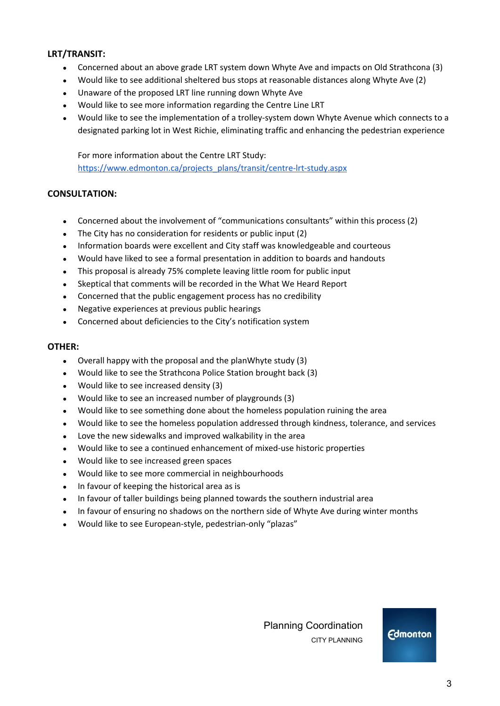# **LRT/TRANSIT:**

- Concerned about an above grade LRT system down Whyte Ave and impacts on Old Strathcona (3)
- Would like to see additional sheltered bus stops at reasonable distances along Whyte Ave (2)
- Unaware of the proposed LRT line running down Whyte Ave
- Would like to see more information regarding the Centre Line LRT
- Would like to see the implementation of a trolley-system down Whyte Avenue which connects to a designated parking lot in West Richie, eliminating traffic and enhancing the pedestrian experience

For more information about the Centre LRT Study: [https://www.edmonton.ca/projects\\_plans/transit/centre-lrt-study.aspx](https://www.edmonton.ca/projects_plans/transit/centre-lrt-study.aspx)

# **CONSULTATION:**

- Concerned about the involvement of "communications consultants" within this process (2)
- The City has no consideration for residents or public input (2)
- Information boards were excellent and City staff was knowledgeable and courteous
- Would have liked to see a formal presentation in addition to boards and handouts
- This proposal is already 75% complete leaving little room for public input
- Skeptical that comments will be recorded in the What We Heard Report
- Concerned that the public engagement process has no credibility
- Negative experiences at previous public hearings
- Concerned about deficiencies to the City's notification system

#### **OTHER:**

- Overall happy with the proposal and the planWhyte study  $(3)$
- Would like to see the Strathcona Police Station brought back (3)
- Would like to see increased density (3)
- Would like to see an increased number of playgrounds (3)
- Would like to see something done about the homeless population ruining the area
- Would like to see the homeless population addressed through kindness, tolerance, and services
- Love the new sidewalks and improved walkability in the area
- Would like to see a continued enhancement of mixed-use historic properties
- Would like to see increased green spaces
- Would like to see more commercial in neighbourhoods
- In favour of keeping the historical area as is
- In favour of taller buildings being planned towards the southern industrial area
- In favour of ensuring no shadows on the northern side of Whyte Ave during winter months
- Would like to see European-style, pedestrian-only "plazas"